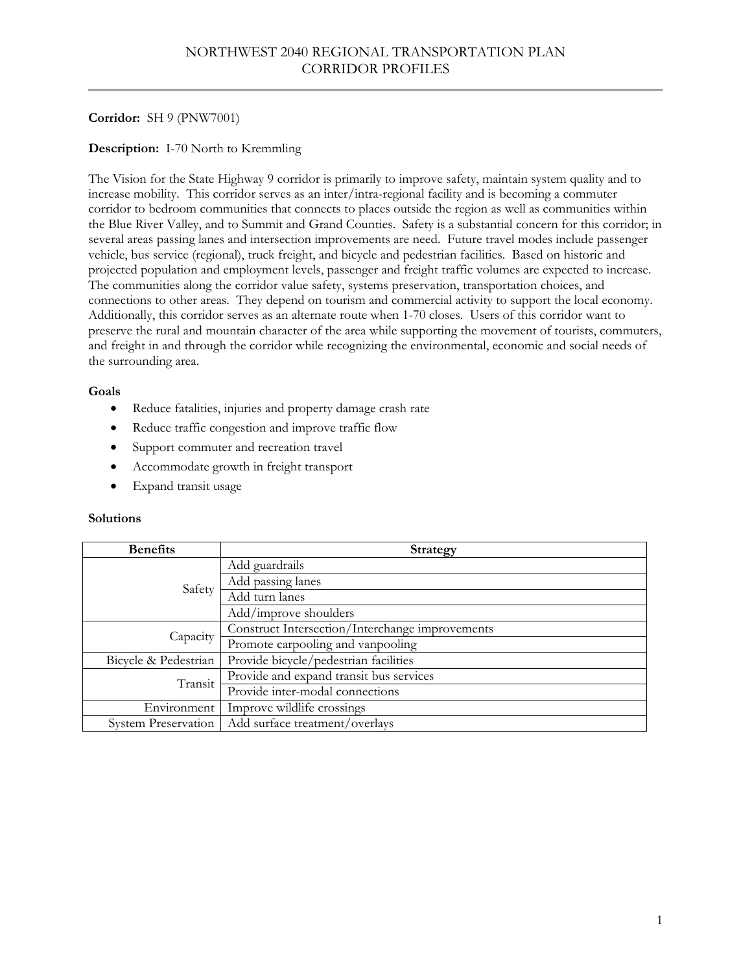# **Corridor:** SH 9 (PNW7001)

# **Description:** I-70 North to Kremmling

The Vision for the State Highway 9 corridor is primarily to improve safety, maintain system quality and to increase mobility. This corridor serves as an inter/intra-regional facility and is becoming a commuter corridor to bedroom communities that connects to places outside the region as well as communities within the Blue River Valley, and to Summit and Grand Counties. Safety is a substantial concern for this corridor; in several areas passing lanes and intersection improvements are need. Future travel modes include passenger vehicle, bus service (regional), truck freight, and bicycle and pedestrian facilities. Based on historic and projected population and employment levels, passenger and freight traffic volumes are expected to increase. The communities along the corridor value safety, systems preservation, transportation choices, and connections to other areas. They depend on tourism and commercial activity to support the local economy. Additionally, this corridor serves as an alternate route when 1-70 closes. Users of this corridor want to preserve the rural and mountain character of the area while supporting the movement of tourists, commuters, and freight in and through the corridor while recognizing the environmental, economic and social needs of the surrounding area.

# **Goals**

- Reduce fatalities, injuries and property damage crash rate
- Reduce traffic congestion and improve traffic flow
- Support commuter and recreation travel
- Accommodate growth in freight transport
- Expand transit usage

| <b>Benefits</b>            | <b>Strategy</b>                                 |
|----------------------------|-------------------------------------------------|
| Safety                     | Add guardrails                                  |
|                            | Add passing lanes                               |
|                            | Add turn lanes                                  |
|                            | Add/improve shoulders                           |
| Capacity                   | Construct Intersection/Interchange improvements |
|                            | Promote carpooling and vanpooling               |
| Bicycle & Pedestrian       | Provide bicycle/pedestrian facilities           |
| Transit                    | Provide and expand transit bus services         |
|                            | Provide inter-modal connections                 |
| Environment                | Improve wildlife crossings                      |
| <b>System Preservation</b> | Add surface treatment/overlays                  |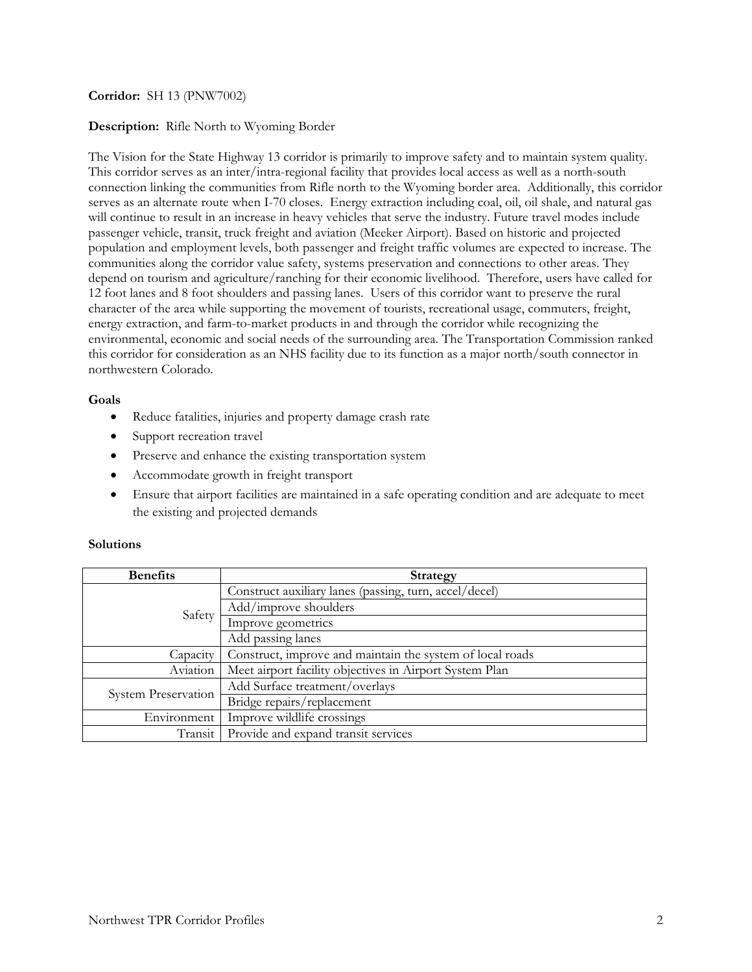## **Corridor:** SH 13 (PNW7002)

### **Description:** Rifle North to Wyoming Border

The Vision for the State Highway 13 corridor is primarily to improve safety and to maintain system quality. This corridor serves as an inter/intra-regional facility that provides local access as well as a north-south connection linking the communities from Rifle north to the Wyoming border area. Additionally, this corridor serves as an alternate route when I-70 closes. Energy extraction including coal, oil, oil shale, and natural gas will continue to result in an increase in heavy vehicles that serve the industry. Future travel modes include passenger vehicle, transit, truck freight and aviation (Meeker Airport). Based on historic and projected population and employment levels, both passenger and freight traffic volumes are expected to increase. The communities along the corridor value safety, systems preservation and connections to other areas. They depend on tourism and agriculture/ranching for their economic livelihood. Therefore, users have called for 12 foot lanes and 8 foot shoulders and passing lanes.Users of this corridor want to preserve the rural character of the area while supporting the movement of tourists, recreational usage, commuters, freight, energy extraction, and farm-to-market products in and through the corridor while recognizing the environmental, economic and social needs of the surrounding area. The Transportation Commission ranked this corridor for consideration as an NHS facility due to its function as a major north/south connector in northwestern Colorado.

#### **Goals**

- Reduce fatalities, injuries and property damage crash rate
- Support recreation travel
- Preserve and enhance the existing transportation system
- Accommodate growth in freight transport
- Ensure that airport facilities are maintained in a safe operating condition and are adequate to meet the existing and projected demands

| <b>Benefits</b>            | <b>Strategy</b>                                           |
|----------------------------|-----------------------------------------------------------|
| Safety                     | Construct auxiliary lanes (passing, turn, accel/decel)    |
|                            | Add/improve shoulders                                     |
|                            | Improve geometrics                                        |
|                            | Add passing lanes                                         |
| Capacity                   | Construct, improve and maintain the system of local roads |
| Aviation                   | Meet airport facility objectives in Airport System Plan   |
| <b>System Preservation</b> | Add Surface treatment/overlays                            |
|                            | Bridge repairs/replacement                                |
| Environment                | Improve wildlife crossings                                |
| Transit                    | Provide and expand transit services                       |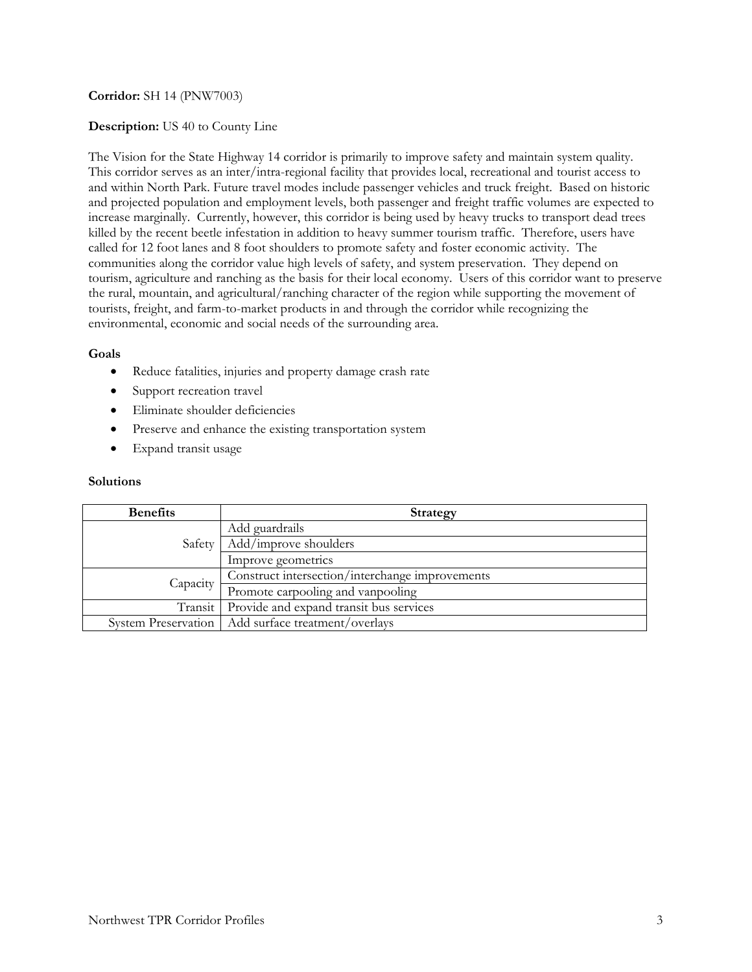## **Corridor:** SH 14 (PNW7003)

### **Description:** US 40 to County Line

The Vision for the State Highway 14 corridor is primarily to improve safety and maintain system quality. This corridor serves as an inter/intra-regional facility that provides local, recreational and tourist access to and within North Park. Future travel modes include passenger vehicles and truck freight. Based on historic and projected population and employment levels, both passenger and freight traffic volumes are expected to increase marginally. Currently, however, this corridor is being used by heavy trucks to transport dead trees killed by the recent beetle infestation in addition to heavy summer tourism traffic. Therefore, users have called for 12 foot lanes and 8 foot shoulders to promote safety and foster economic activity. The communities along the corridor value high levels of safety, and system preservation. They depend on tourism, agriculture and ranching as the basis for their local economy. Users of this corridor want to preserve the rural, mountain, and agricultural/ranching character of the region while supporting the movement of tourists, freight, and farm-to-market products in and through the corridor while recognizing the environmental, economic and social needs of the surrounding area.

### **Goals**

- Reduce fatalities, injuries and property damage crash rate
- Support recreation travel
- Eliminate shoulder deficiencies
- Preserve and enhance the existing transportation system
- Expand transit usage

| <b>Benefits</b>     | <b>Strategy</b>                                 |
|---------------------|-------------------------------------------------|
| Safety              | Add guardrails                                  |
|                     | Add/improve shoulders                           |
|                     | Improve geometrics                              |
| Capacity            | Construct intersection/interchange improvements |
|                     | Promote carpooling and vanpooling               |
| Transit             | Provide and expand transit bus services         |
| System Preservation | Add surface treatment/overlays                  |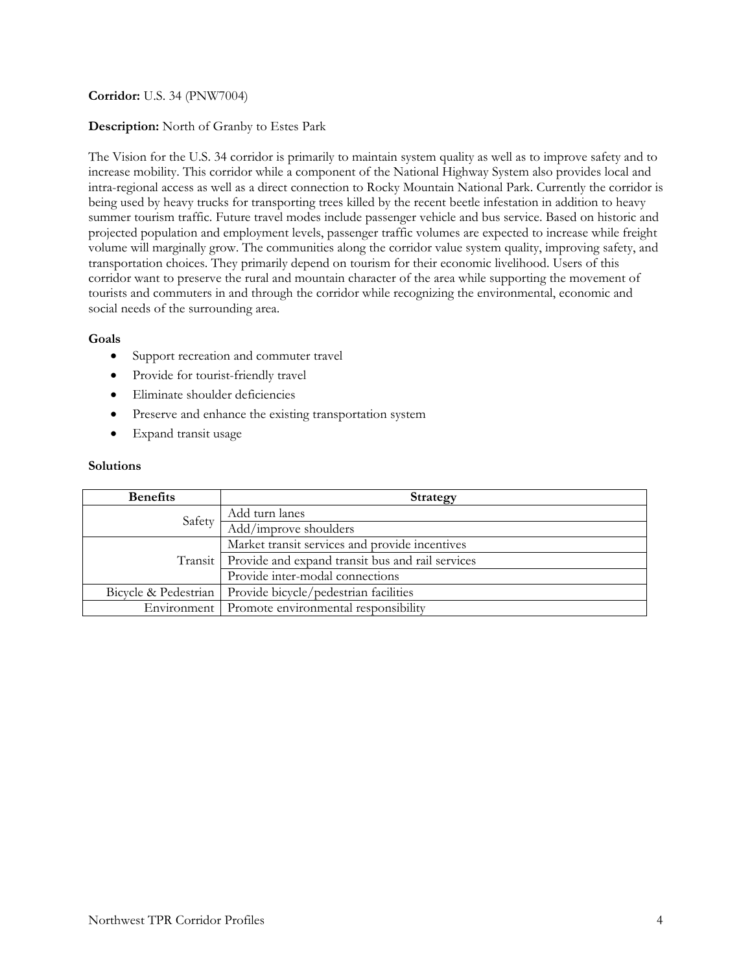## **Corridor:** U.S. 34 (PNW7004)

### **Description:** North of Granby to Estes Park

The Vision for the U.S. 34 corridor is primarily to maintain system quality as well as to improve safety and to increase mobility. This corridor while a component of the National Highway System also provides local and intra-regional access as well as a direct connection to Rocky Mountain National Park. Currently the corridor is being used by heavy trucks for transporting trees killed by the recent beetle infestation in addition to heavy summer tourism traffic. Future travel modes include passenger vehicle and bus service. Based on historic and projected population and employment levels, passenger traffic volumes are expected to increase while freight volume will marginally grow. The communities along the corridor value system quality, improving safety, and transportation choices. They primarily depend on tourism for their economic livelihood. Users of this corridor want to preserve the rural and mountain character of the area while supporting the movement of tourists and commuters in and through the corridor while recognizing the environmental, economic and social needs of the surrounding area.

### **Goals**

- Support recreation and commuter travel
- Provide for tourist-friendly travel
- Eliminate shoulder deficiencies
- Preserve and enhance the existing transportation system
- Expand transit usage

| <b>Benefits</b>      | <b>Strategy</b>                                            |
|----------------------|------------------------------------------------------------|
| Safety               | Add turn lanes                                             |
|                      | Add/improve shoulders                                      |
|                      | Market transit services and provide incentives             |
|                      | Transit   Provide and expand transit bus and rail services |
|                      | Provide inter-modal connections                            |
| Bicycle & Pedestrian | Provide bicycle/pedestrian facilities                      |
|                      | Environment Promote environmental responsibility           |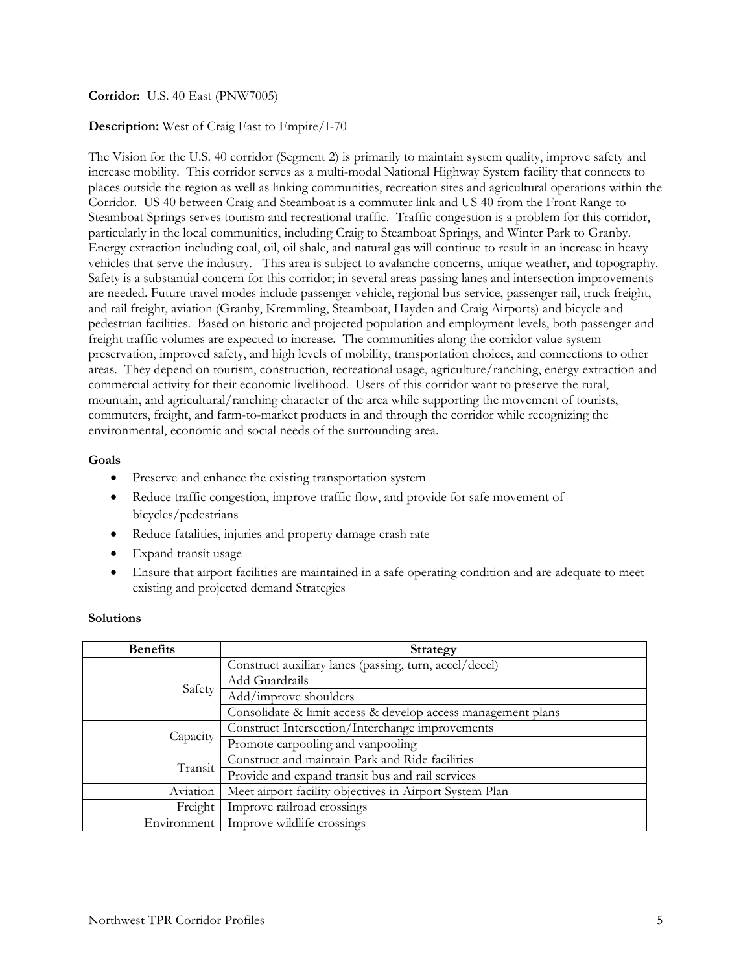## **Corridor:** U.S. 40 East (PNW7005)

### **Description:** West of Craig East to Empire/I-70

The Vision for the U.S. 40 corridor (Segment 2) is primarily to maintain system quality, improve safety and increase mobility. This corridor serves as a multi-modal National Highway System facility that connects to places outside the region as well as linking communities, recreation sites and agricultural operations within the Corridor. US 40 between Craig and Steamboat is a commuter link and US 40 from the Front Range to Steamboat Springs serves tourism and recreational traffic. Traffic congestion is a problem for this corridor, particularly in the local communities, including Craig to Steamboat Springs, and Winter Park to Granby. Energy extraction including coal, oil, oil shale, and natural gas will continue to result in an increase in heavy vehicles that serve the industry. This area is subject to avalanche concerns, unique weather, and topography. Safety is a substantial concern for this corridor; in several areas passing lanes and intersection improvements are needed. Future travel modes include passenger vehicle, regional bus service, passenger rail, truck freight, and rail freight, aviation (Granby, Kremmling, Steamboat, Hayden and Craig Airports) and bicycle and pedestrian facilities. Based on historic and projected population and employment levels, both passenger and freight traffic volumes are expected to increase. The communities along the corridor value system preservation, improved safety, and high levels of mobility, transportation choices, and connections to other areas. They depend on tourism, construction, recreational usage, agriculture/ranching, energy extraction and commercial activity for their economic livelihood. Users of this corridor want to preserve the rural, mountain, and agricultural/ranching character of the area while supporting the movement of tourists, commuters, freight, and farm-to-market products in and through the corridor while recognizing the environmental, economic and social needs of the surrounding area.

### **Goals**

- Preserve and enhance the existing transportation system
- Reduce traffic congestion, improve traffic flow, and provide for safe movement of bicycles/pedestrians
- Reduce fatalities, injuries and property damage crash rate
- Expand transit usage
- Ensure that airport facilities are maintained in a safe operating condition and are adequate to meet existing and projected demand Strategies

| <b>Benefits</b> | <b>Strategy</b>                                              |
|-----------------|--------------------------------------------------------------|
| Safety          | Construct auxiliary lanes (passing, turn, accel/decel)       |
|                 | Add Guardrails                                               |
|                 | Add/improve shoulders                                        |
|                 | Consolidate & limit access & develop access management plans |
| Capacity        | Construct Intersection/Interchange improvements              |
|                 | Promote carpooling and vanpooling                            |
| Transit         | Construct and maintain Park and Ride facilities              |
|                 | Provide and expand transit bus and rail services             |
| Aviation        | Meet airport facility objectives in Airport System Plan      |
| Freight         | Improve railroad crossings                                   |
| Environment     | Improve wildlife crossings                                   |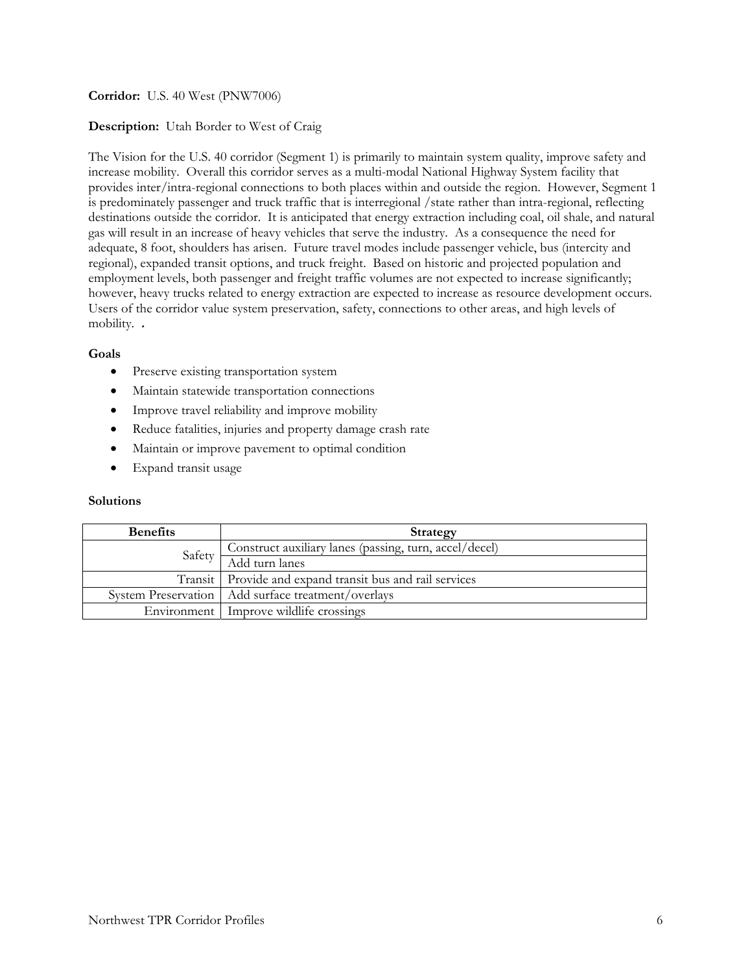# **Corridor:** U.S. 40 West (PNW7006)

# **Description:** Utah Border to West of Craig

The Vision for the U.S. 40 corridor (Segment 1) is primarily to maintain system quality, improve safety and increase mobility. Overall this corridor serves as a multi-modal National Highway System facility that provides inter/intra-regional connections to both places within and outside the region. However, Segment 1 is predominately passenger and truck traffic that is interregional /state rather than intra-regional, reflecting destinations outside the corridor. It is anticipated that energy extraction including coal, oil shale, and natural gas will result in an increase of heavy vehicles that serve the industry. As a consequence the need for adequate, 8 foot, shoulders has arisen. Future travel modes include passenger vehicle, bus (intercity and regional), expanded transit options, and truck freight. Based on historic and projected population and employment levels, both passenger and freight traffic volumes are not expected to increase significantly; however, heavy trucks related to energy extraction are expected to increase as resource development occurs. Users of the corridor value system preservation, safety, connections to other areas, and high levels of mobility. **.**

# **Goals**

- Preserve existing transportation system
- Maintain statewide transportation connections
- Improve travel reliability and improve mobility
- Reduce fatalities, injuries and property damage crash rate
- Maintain or improve pavement to optimal condition
- Expand transit usage

| <b>Benefits</b> | Strategy                                                   |
|-----------------|------------------------------------------------------------|
| Safety          | Construct auxiliary lanes (passing, turn, accel/decel)     |
|                 | Add turn lanes                                             |
|                 | Transit   Provide and expand transit bus and rail services |
|                 | System Preservation   Add surface treatment/overlays       |
|                 | Environment   Improve wildlife crossings                   |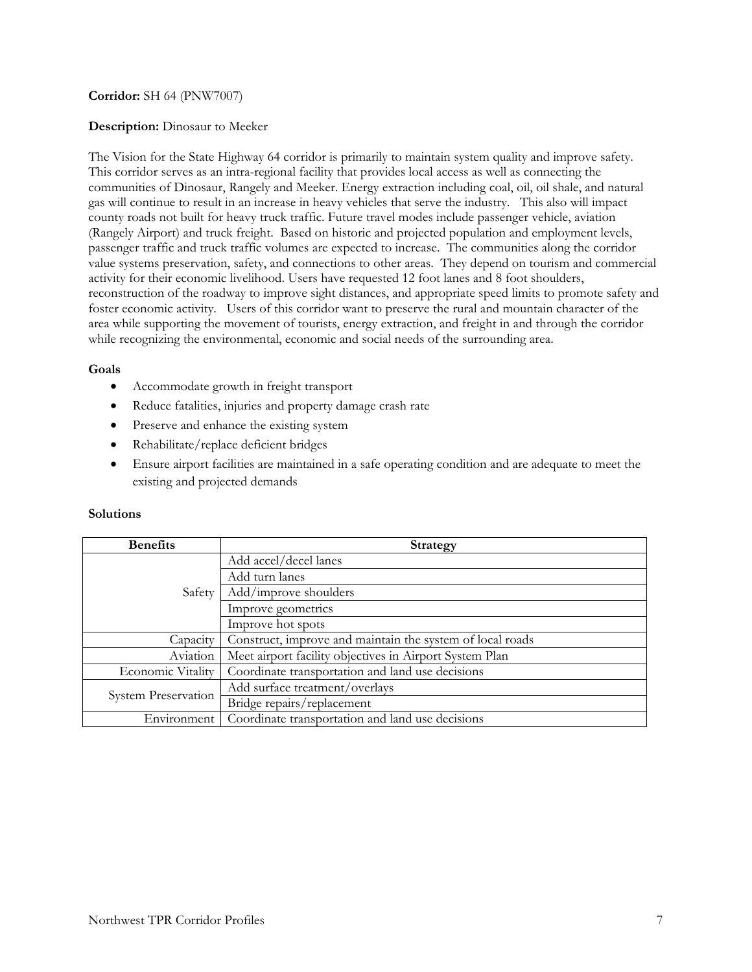## **Corridor:** SH 64 (PNW7007)

### **Description:** Dinosaur to Meeker

The Vision for the State Highway 64 corridor is primarily to maintain system quality and improve safety. This corridor serves as an intra-regional facility that provides local access as well as connecting the communities of Dinosaur, Rangely and Meeker. Energy extraction including coal, oil, oil shale, and natural gas will continue to result in an increase in heavy vehicles that serve the industry. This also will impact county roads not built for heavy truck traffic. Future travel modes include passenger vehicle, aviation (Rangely Airport) and truck freight. Based on historic and projected population and employment levels, passenger traffic and truck traffic volumes are expected to increase. The communities along the corridor value systems preservation, safety, and connections to other areas. They depend on tourism and commercial activity for their economic livelihood. Users have requested 12 foot lanes and 8 foot shoulders, reconstruction of the roadway to improve sight distances, and appropriate speed limits to promote safety and foster economic activity. Users of this corridor want to preserve the rural and mountain character of the area while supporting the movement of tourists, energy extraction, and freight in and through the corridor while recognizing the environmental, economic and social needs of the surrounding area.

### **Goals**

- Accommodate growth in freight transport
- Reduce fatalities, injuries and property damage crash rate
- Preserve and enhance the existing system
- Rehabilitate/replace deficient bridges
- Ensure airport facilities are maintained in a safe operating condition and are adequate to meet the existing and projected demands

| <b>Benefits</b>            | <b>Strategy</b>                                           |
|----------------------------|-----------------------------------------------------------|
| Safety                     | Add accel/decel lanes                                     |
|                            | Add turn lanes                                            |
|                            | Add/improve shoulders                                     |
|                            | Improve geometrics                                        |
|                            | Improve hot spots                                         |
| Capacity                   | Construct, improve and maintain the system of local roads |
| Aviation                   | Meet airport facility objectives in Airport System Plan   |
| Economic Vitality          | Coordinate transportation and land use decisions          |
| <b>System Preservation</b> | Add surface treatment/overlays                            |
|                            | Bridge repairs/replacement                                |
| Environment                | Coordinate transportation and land use decisions          |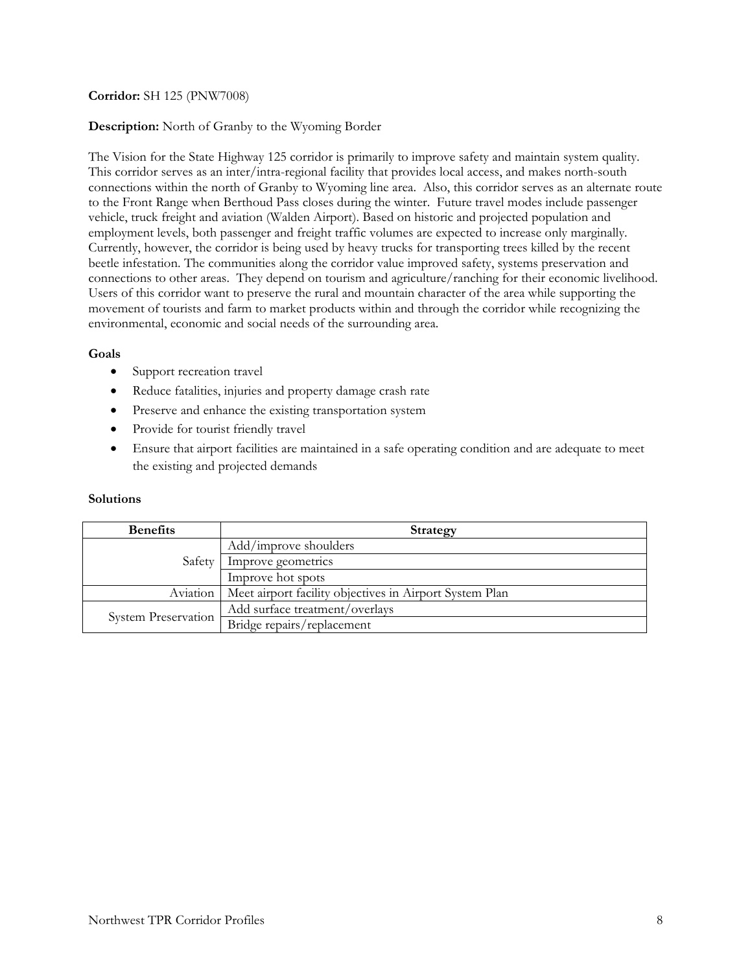# **Corridor:** SH 125 (PNW7008)

### **Description:** North of Granby to the Wyoming Border

The Vision for the State Highway 125 corridor is primarily to improve safety and maintain system quality. This corridor serves as an inter/intra-regional facility that provides local access, and makes north-south connections within the north of Granby to Wyoming line area. Also, this corridor serves as an alternate route to the Front Range when Berthoud Pass closes during the winter. Future travel modes include passenger vehicle, truck freight and aviation (Walden Airport). Based on historic and projected population and employment levels, both passenger and freight traffic volumes are expected to increase only marginally. Currently, however, the corridor is being used by heavy trucks for transporting trees killed by the recent beetle infestation. The communities along the corridor value improved safety, systems preservation and connections to other areas. They depend on tourism and agriculture/ranching for their economic livelihood. Users of this corridor want to preserve the rural and mountain character of the area while supporting the movement of tourists and farm to market products within and through the corridor while recognizing the environmental, economic and social needs of the surrounding area.

## **Goals**

- Support recreation travel
- Reduce fatalities, injuries and property damage crash rate
- Preserve and enhance the existing transportation system
- Provide for tourist friendly travel
- Ensure that airport facilities are maintained in a safe operating condition and are adequate to meet the existing and projected demands

| <b>Benefits</b>            | <b>Strategy</b>                                         |
|----------------------------|---------------------------------------------------------|
| Safety                     | Add/improve shoulders                                   |
|                            | Improve geometrics                                      |
|                            | Improve hot spots                                       |
| Aviation                   | Meet airport facility objectives in Airport System Plan |
| <b>System Preservation</b> | Add surface treatment/overlays                          |
|                            | Bridge repairs/replacement                              |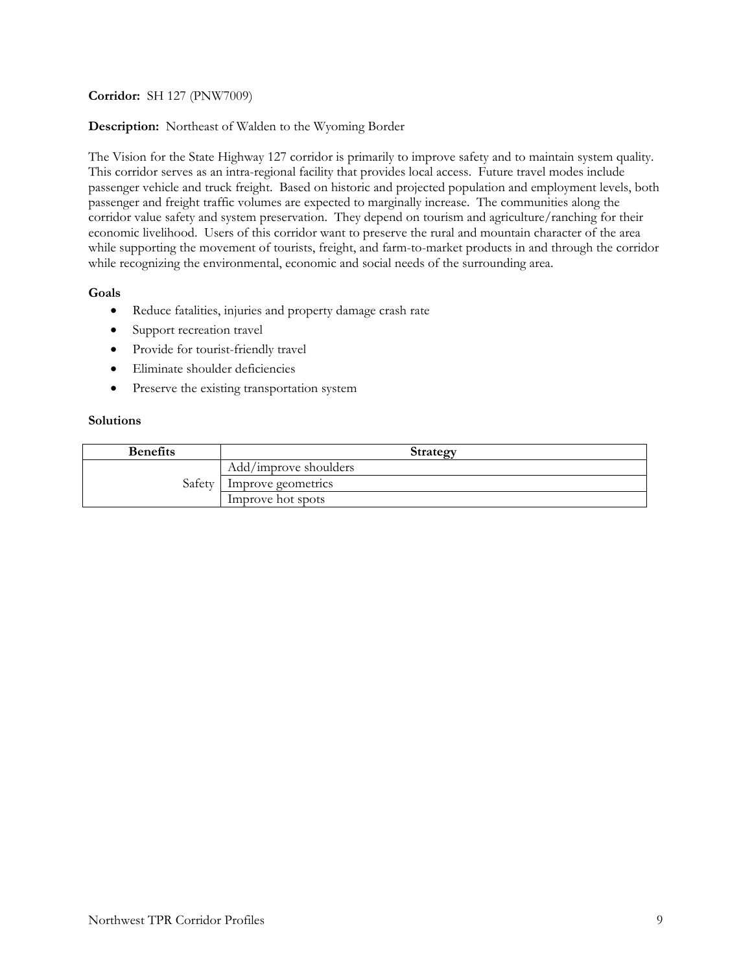**Corridor:** SH 127 (PNW7009)

**Description:** Northeast of Walden to the Wyoming Border

The Vision for the State Highway 127 corridor is primarily to improve safety and to maintain system quality. This corridor serves as an intra-regional facility that provides local access. Future travel modes include passenger vehicle and truck freight. Based on historic and projected population and employment levels, both passenger and freight traffic volumes are expected to marginally increase. The communities along the corridor value safety and system preservation. They depend on tourism and agriculture/ranching for their economic livelihood. Users of this corridor want to preserve the rural and mountain character of the area while supporting the movement of tourists, freight, and farm-to-market products in and through the corridor while recognizing the environmental, economic and social needs of the surrounding area.

# **Goals**

- Reduce fatalities, injuries and property damage crash rate
- Support recreation travel
- Provide for tourist-friendly travel
- Eliminate shoulder deficiencies
- Preserve the existing transportation system

| <b>Benefits</b> | <b>Strategy</b>       |
|-----------------|-----------------------|
|                 | Add/improve shoulders |
| Safetv          | Improve geometrics    |
|                 | Improve hot spots     |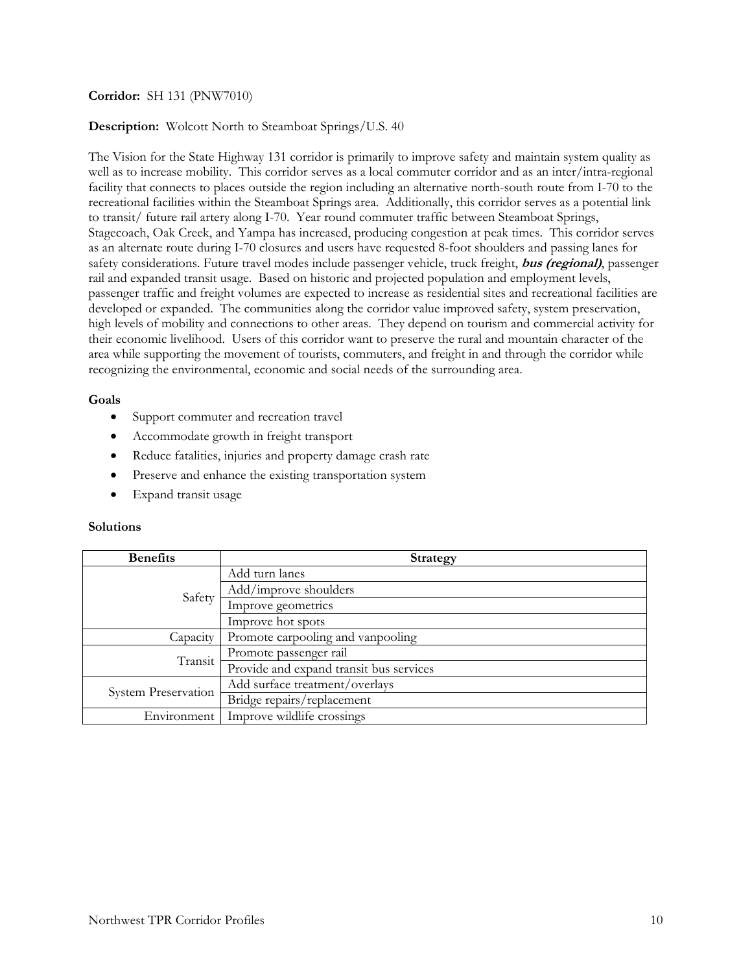## **Corridor:** SH 131 (PNW7010)

### **Description:** Wolcott North to Steamboat Springs/U.S. 40

The Vision for the State Highway 131 corridor is primarily to improve safety and maintain system quality as well as to increase mobility. This corridor serves as a local commuter corridor and as an inter/intra-regional facility that connects to places outside the region including an alternative north-south route from I-70 to the recreational facilities within the Steamboat Springs area. Additionally, this corridor serves as a potential link to transit/ future rail artery along I-70. Year round commuter traffic between Steamboat Springs, Stagecoach, Oak Creek, and Yampa has increased, producing congestion at peak times. This corridor serves as an alternate route during I-70 closures and users have requested 8-foot shoulders and passing lanes for safety considerations. Future travel modes include passenger vehicle, truck freight, **bus (regional)**, passenger rail and expanded transit usage. Based on historic and projected population and employment levels, passenger traffic and freight volumes are expected to increase as residential sites and recreational facilities are developed or expanded. The communities along the corridor value improved safety, system preservation, high levels of mobility and connections to other areas. They depend on tourism and commercial activity for their economic livelihood. Users of this corridor want to preserve the rural and mountain character of the area while supporting the movement of tourists, commuters, and freight in and through the corridor while recognizing the environmental, economic and social needs of the surrounding area.

#### **Goals**

- Support commuter and recreation travel
- Accommodate growth in freight transport
- Reduce fatalities, injuries and property damage crash rate
- Preserve and enhance the existing transportation system
- Expand transit usage

| <b>Benefits</b>            | <b>Strategy</b>                         |
|----------------------------|-----------------------------------------|
|                            | Add turn lanes                          |
|                            | Add/improve shoulders                   |
| Safety                     | Improve geometrics                      |
|                            | Improve hot spots                       |
| Capacity                   | Promote carpooling and vanpooling       |
| Transit                    | Promote passenger rail                  |
|                            | Provide and expand transit bus services |
| <b>System Preservation</b> | Add surface treatment/overlays          |
|                            | Bridge repairs/replacement              |
| Environment                | Improve wildlife crossings              |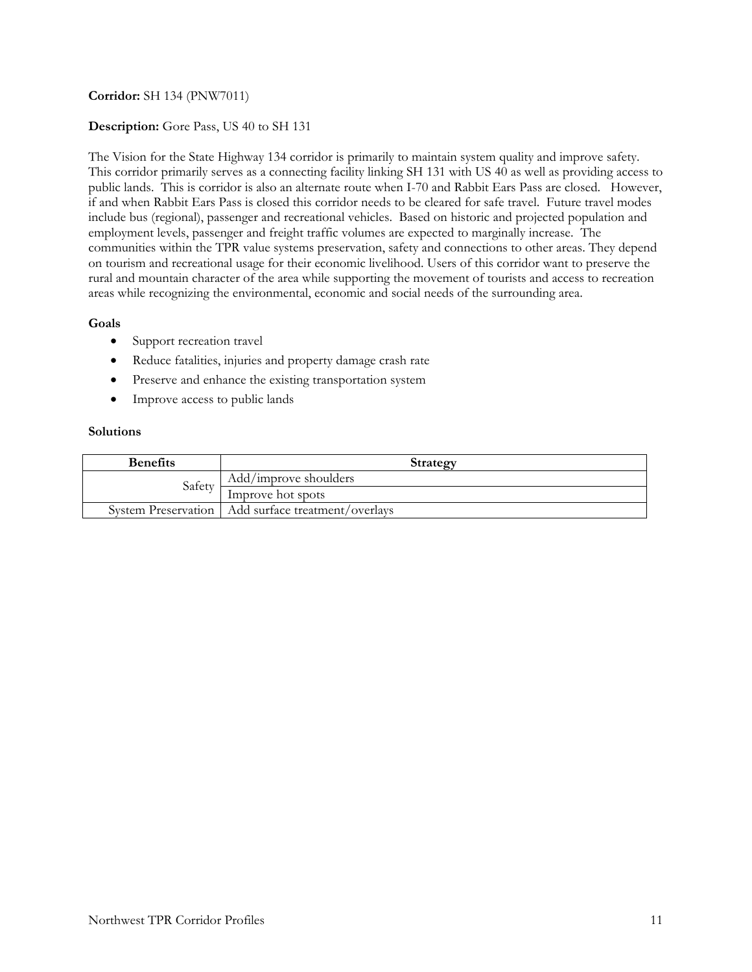# **Corridor:** SH 134 (PNW7011)

## **Description:** Gore Pass, US 40 to SH 131

The Vision for the State Highway 134 corridor is primarily to maintain system quality and improve safety. This corridor primarily serves as a connecting facility linking SH 131 with US 40 as well as providing access to public lands. This is corridor is also an alternate route when I-70 and Rabbit Ears Pass are closed. However, if and when Rabbit Ears Pass is closed this corridor needs to be cleared for safe travel. Future travel modes include bus (regional), passenger and recreational vehicles. Based on historic and projected population and employment levels, passenger and freight traffic volumes are expected to marginally increase. The communities within the TPR value systems preservation, safety and connections to other areas. They depend on tourism and recreational usage for their economic livelihood. Users of this corridor want to preserve the rural and mountain character of the area while supporting the movement of tourists and access to recreation areas while recognizing the environmental, economic and social needs of the surrounding area.

## **Goals**

- Support recreation travel
- Reduce fatalities, injuries and property damage crash rate
- Preserve and enhance the existing transportation system
- Improve access to public lands

| <b>Benefits</b> | <b>Strategy</b>                                      |
|-----------------|------------------------------------------------------|
| Safety          | Add/improve shoulders                                |
|                 | Improve hot spots                                    |
|                 | System Preservation   Add surface treatment/overlays |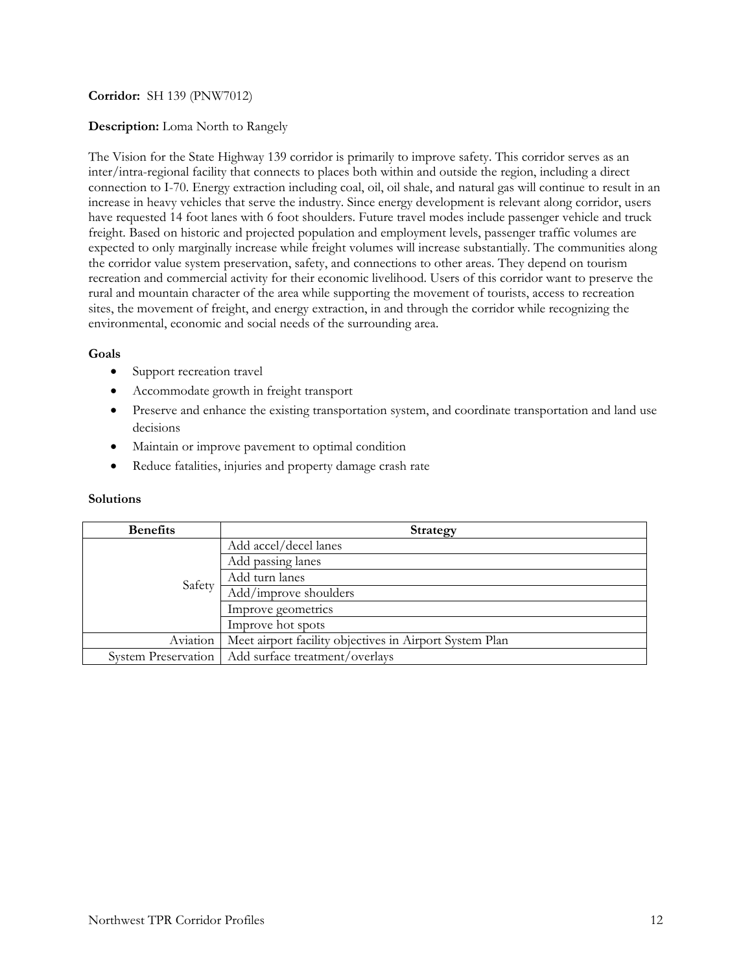## **Corridor:** SH 139 (PNW7012)

## **Description:** Loma North to Rangely

The Vision for the State Highway 139 corridor is primarily to improve safety. This corridor serves as an inter/intra-regional facility that connects to places both within and outside the region, including a direct connection to I-70. Energy extraction including coal, oil, oil shale, and natural gas will continue to result in an increase in heavy vehicles that serve the industry. Since energy development is relevant along corridor, users have requested 14 foot lanes with 6 foot shoulders. Future travel modes include passenger vehicle and truck freight. Based on historic and projected population and employment levels, passenger traffic volumes are expected to only marginally increase while freight volumes will increase substantially. The communities along the corridor value system preservation, safety, and connections to other areas. They depend on tourism recreation and commercial activity for their economic livelihood. Users of this corridor want to preserve the rural and mountain character of the area while supporting the movement of tourists, access to recreation sites, the movement of freight, and energy extraction, in and through the corridor while recognizing the environmental, economic and social needs of the surrounding area.

### **Goals**

- Support recreation travel
- Accommodate growth in freight transport
- Preserve and enhance the existing transportation system, and coordinate transportation and land use decisions
- Maintain or improve pavement to optimal condition
- Reduce fatalities, injuries and property damage crash rate

| <b>Benefits</b>     | <b>Strategy</b>                                         |
|---------------------|---------------------------------------------------------|
|                     | Add accel/decel lanes                                   |
|                     | Add passing lanes                                       |
| Safety              | Add turn lanes                                          |
|                     | Add/improve shoulders                                   |
|                     | Improve geometrics                                      |
|                     | Improve hot spots                                       |
| Aviation            | Meet airport facility objectives in Airport System Plan |
| System Preservation | Add surface treatment/overlays                          |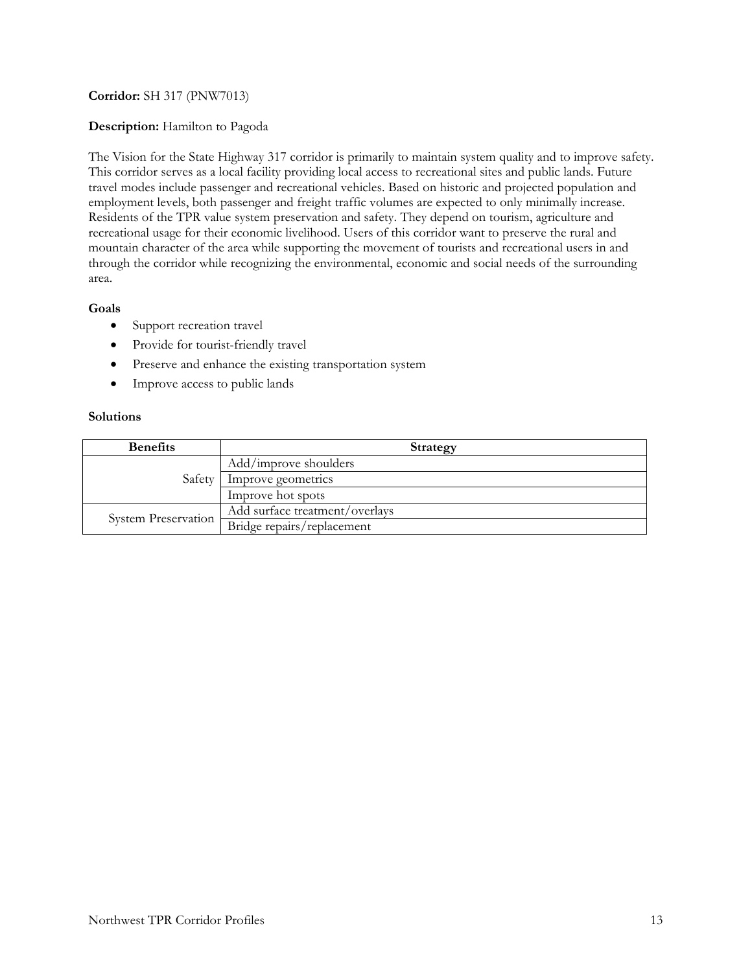# **Corridor:** SH 317 (PNW7013)

## **Description:** Hamilton to Pagoda

The Vision for the State Highway 317 corridor is primarily to maintain system quality and to improve safety. This corridor serves as a local facility providing local access to recreational sites and public lands. Future travel modes include passenger and recreational vehicles. Based on historic and projected population and employment levels, both passenger and freight traffic volumes are expected to only minimally increase. Residents of the TPR value system preservation and safety. They depend on tourism, agriculture and recreational usage for their economic livelihood. Users of this corridor want to preserve the rural and mountain character of the area while supporting the movement of tourists and recreational users in and through the corridor while recognizing the environmental, economic and social needs of the surrounding area.

## **Goals**

- Support recreation travel
- Provide for tourist-friendly travel
- Preserve and enhance the existing transportation system
- Improve access to public lands

| <b>Benefits</b>            | <b>Strategy</b>                |
|----------------------------|--------------------------------|
| Safety                     | Add/improve shoulders          |
|                            | Improve geometrics             |
|                            | Improve hot spots              |
| <b>System Preservation</b> | Add surface treatment/overlays |
|                            | Bridge repairs/replacement     |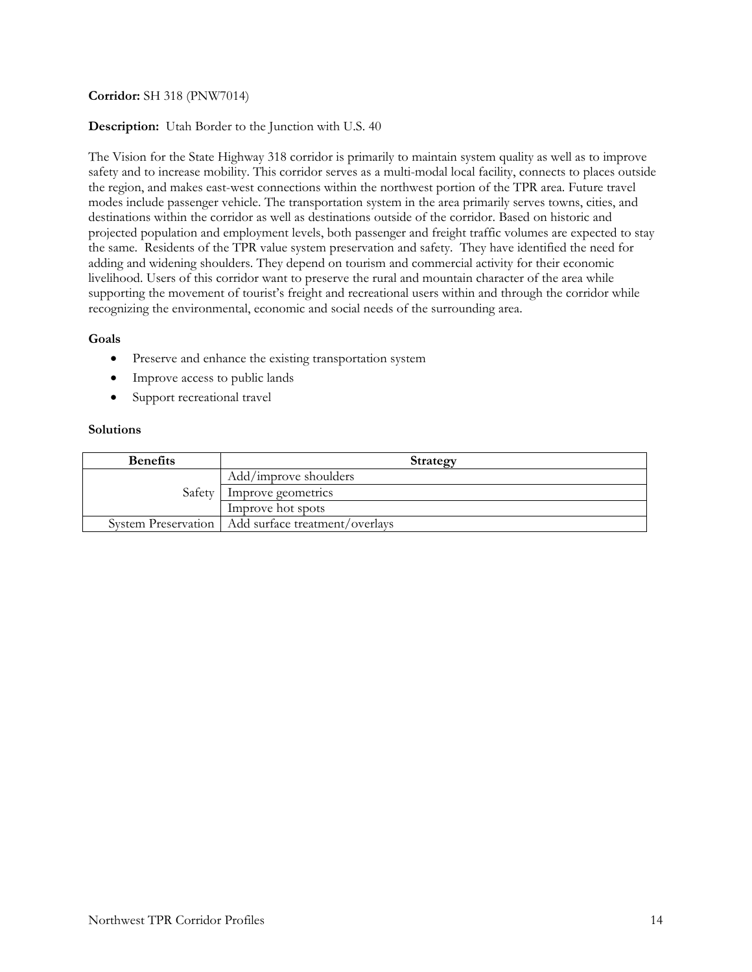# **Corridor:** SH 318 (PNW7014)

## **Description:** Utah Border to the Junction with U.S. 40

The Vision for the State Highway 318 corridor is primarily to maintain system quality as well as to improve safety and to increase mobility. This corridor serves as a multi-modal local facility, connects to places outside the region, and makes east-west connections within the northwest portion of the TPR area. Future travel modes include passenger vehicle. The transportation system in the area primarily serves towns, cities, and destinations within the corridor as well as destinations outside of the corridor. Based on historic and projected population and employment levels, both passenger and freight traffic volumes are expected to stay the same. Residents of the TPR value system preservation and safety. They have identified the need for adding and widening shoulders. They depend on tourism and commercial activity for their economic livelihood. Users of this corridor want to preserve the rural and mountain character of the area while supporting the movement of tourist's freight and recreational users within and through the corridor while recognizing the environmental, economic and social needs of the surrounding area.

## **Goals**

- Preserve and enhance the existing transportation system
- Improve access to public lands
- Support recreational travel

| <b>Benefits</b> | Strategy                                             |
|-----------------|------------------------------------------------------|
| Safety          | Add/improve shoulders                                |
|                 | Improve geometrics                                   |
|                 | Improve hot spots                                    |
|                 | System Preservation   Add surface treatment/overlays |